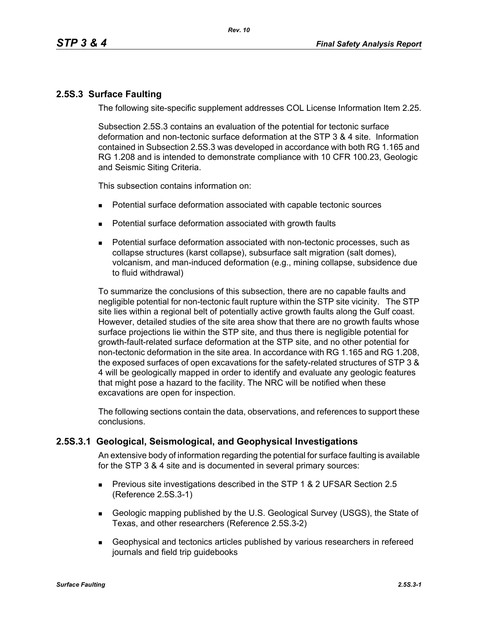# **2.5S.3 Surface Faulting**

The following site-specific supplement addresses COL License Information Item 2.25.

Subsection 2.5S.3 contains an evaluation of the potential for tectonic surface deformation and non-tectonic surface deformation at the STP 3 & 4 site. Information contained in Subsection 2.5S.3 was developed in accordance with both RG 1.165 and RG 1.208 and is intended to demonstrate compliance with 10 CFR 100.23, Geologic and Seismic Siting Criteria.

This subsection contains information on:

- Potential surface deformation associated with capable tectonic sources
- **Potential surface deformation associated with growth faults**
- Potential surface deformation associated with non-tectonic processes, such as collapse structures (karst collapse), subsurface salt migration (salt domes), volcanism, and man-induced deformation (e.g., mining collapse, subsidence due to fluid withdrawal)

To summarize the conclusions of this subsection, there are no capable faults and negligible potential for non-tectonic fault rupture within the STP site vicinity. The STP site lies within a regional belt of potentially active growth faults along the Gulf coast. However, detailed studies of the site area show that there are no growth faults whose surface projections lie within the STP site, and thus there is negligible potential for growth-fault-related surface deformation at the STP site, and no other potential for non-tectonic deformation in the site area. In accordance with RG 1.165 and RG 1.208, the exposed surfaces of open excavations for the safety-related structures of STP 3 & 4 will be geologically mapped in order to identify and evaluate any geologic features that might pose a hazard to the facility. The NRC will be notified when these excavations are open for inspection.

The following sections contain the data, observations, and references to support these conclusions.

# **2.5S.3.1 Geological, Seismological, and Geophysical Investigations**

An extensive body of information regarding the potential for surface faulting is available for the STP 3 & 4 site and is documented in several primary sources:

- **Previous site investigations described in the STP 1 & 2 UFSAR Section 2.5** (Reference 2.5S.3-1)
- Geologic mapping published by the U.S. Geological Survey (USGS), the State of Texas, and other researchers (Reference 2.5S.3-2)
- Geophysical and tectonics articles published by various researchers in refereed journals and field trip guidebooks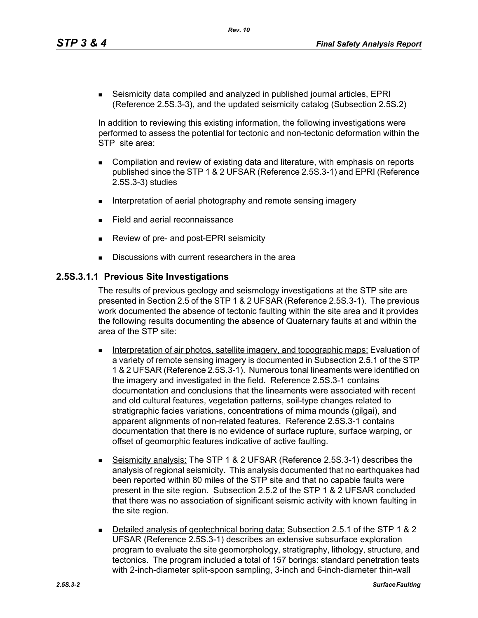*Rev. 10*

 Seismicity data compiled and analyzed in published journal articles, EPRI (Reference 2.5S.3-3), and the updated seismicity catalog (Subsection 2.5S.2)

In addition to reviewing this existing information, the following investigations were performed to assess the potential for tectonic and non-tectonic deformation within the STP site area:

- Compilation and review of existing data and literature, with emphasis on reports published since the STP 1 & 2 UFSAR (Reference 2.5S.3-1) and EPRI (Reference 2.5S.3-3) studies
- Interpretation of aerial photography and remote sensing imagery
- Field and aerial reconnaissance
- Review of pre- and post-EPRI seismicity
- Discussions with current researchers in the area

## **2.5S.3.1.1 Previous Site Investigations**

The results of previous geology and seismology investigations at the STP site are presented in Section 2.5 of the STP 1 & 2 UFSAR (Reference 2.5S.3-1). The previous work documented the absence of tectonic faulting within the site area and it provides the following results documenting the absence of Quaternary faults at and within the area of the STP site:

- **Interpretation of air photos, satellite imagery, and topographic maps: Evaluation of** a variety of remote sensing imagery is documented in Subsection 2.5.1 of the STP 1 & 2 UFSAR (Reference 2.5S.3-1). Numerous tonal lineaments were identified on the imagery and investigated in the field. Reference 2.5S.3-1 contains documentation and conclusions that the lineaments were associated with recent and old cultural features, vegetation patterns, soil-type changes related to stratigraphic facies variations, concentrations of mima mounds (gilgai), and apparent alignments of non-related features. Reference 2.5S.3-1 contains documentation that there is no evidence of surface rupture, surface warping, or offset of geomorphic features indicative of active faulting.
- Seismicity analysis: The STP 1 & 2 UFSAR (Reference 2.5S.3-1) describes the analysis of regional seismicity. This analysis documented that no earthquakes had been reported within 80 miles of the STP site and that no capable faults were present in the site region. Subsection 2.5.2 of the STP 1 & 2 UFSAR concluded that there was no association of significant seismic activity with known faulting in the site region.
- Detailed analysis of geotechnical boring data: Subsection 2.5.1 of the STP 1 & 2 UFSAR (Reference 2.5S.3-1) describes an extensive subsurface exploration program to evaluate the site geomorphology, stratigraphy, lithology, structure, and tectonics. The program included a total of 157 borings: standard penetration tests with 2-inch-diameter split-spoon sampling, 3-inch and 6-inch-diameter thin-wall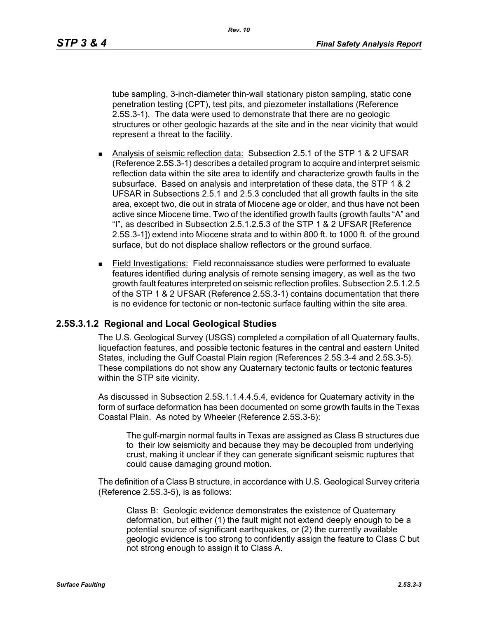*Rev. 10*

tube sampling, 3-inch-diameter thin-wall stationary piston sampling, static cone penetration testing (CPT), test pits, and piezometer installations (Reference 2.5S.3-1). The data were used to demonstrate that there are no geologic structures or other geologic hazards at the site and in the near vicinity that would represent a threat to the facility.

- Analysis of seismic reflection data: Subsection 2.5.1 of the STP 1 & 2 UFSAR (Reference 2.5S.3-1) describes a detailed program to acquire and interpret seismic reflection data within the site area to identify and characterize growth faults in the subsurface. Based on analysis and interpretation of these data, the STP 1 & 2 UFSAR in Subsections 2.5.1 and 2.5.3 concluded that all growth faults in the site area, except two, die out in strata of Miocene age or older, and thus have not been active since Miocene time. Two of the identified growth faults (growth faults "A" and "I", as described in Subsection 2.5.1.2.5.3 of the STP 1 & 2 UFSAR [Reference 2.5S.3-1]) extend into Miocene strata and to within 800 ft. to 1000 ft. of the ground surface, but do not displace shallow reflectors or the ground surface.
- Field Investigations: Field reconnaissance studies were performed to evaluate features identified during analysis of remote sensing imagery, as well as the two growth fault features interpreted on seismic reflection profiles. Subsection 2.5.1.2.5 of the STP 1 & 2 UFSAR (Reference 2.5S.3-1) contains documentation that there is no evidence for tectonic or non-tectonic surface faulting within the site area.

# **2.5S.3.1.2 Regional and Local Geological Studies**

The U.S. Geological Survey (USGS) completed a compilation of all Quaternary faults, liquefaction features, and possible tectonic features in the central and eastern United States, including the Gulf Coastal Plain region (References 2.5S.3-4 and 2.5S.3-5). These compilations do not show any Quaternary tectonic faults or tectonic features within the STP site vicinity.

As discussed in Subsection 2.5S.1.1.4.4.5.4, evidence for Quaternary activity in the form of surface deformation has been documented on some growth faults in the Texas Coastal Plain. As noted by Wheeler (Reference 2.5S.3-6):

The gulf-margin normal faults in Texas are assigned as Class B structures due to their low seismicity and because they may be decoupled from underlying crust, making it unclear if they can generate significant seismic ruptures that could cause damaging ground motion.

The definition of a Class B structure, in accordance with U.S. Geological Survey criteria (Reference 2.5S.3-5), is as follows:

Class B: Geologic evidence demonstrates the existence of Quaternary deformation, but either (1) the fault might not extend deeply enough to be a potential source of significant earthquakes, or (2) the currently available geologic evidence is too strong to confidently assign the feature to Class C but not strong enough to assign it to Class A.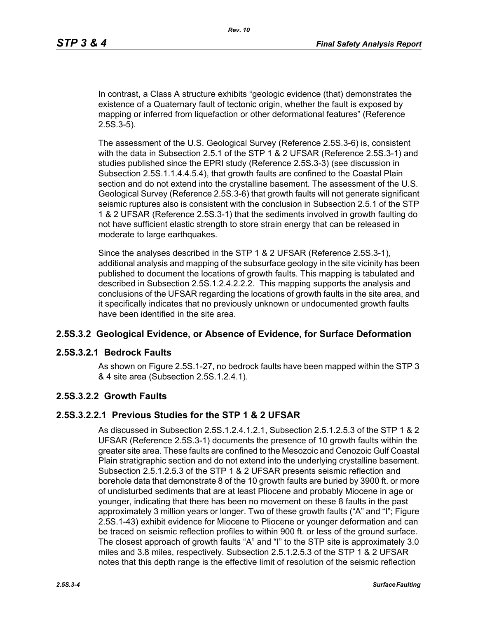In contrast, a Class A structure exhibits "geologic evidence (that) demonstrates the existence of a Quaternary fault of tectonic origin, whether the fault is exposed by mapping or inferred from liquefaction or other deformational features" (Reference 2.5S.3-5).

The assessment of the U.S. Geological Survey (Reference 2.5S.3-6) is, consistent with the data in Subsection 2.5.1 of the STP 1 & 2 UFSAR (Reference 2.5S.3-1) and studies published since the EPRI study (Reference 2.5S.3-3) (see discussion in Subsection 2.5S.1.1.4.4.5.4), that growth faults are confined to the Coastal Plain section and do not extend into the crystalline basement. The assessment of the U.S. Geological Survey (Reference 2.5S.3-6) that growth faults will not generate significant seismic ruptures also is consistent with the conclusion in Subsection 2.5.1 of the STP 1 & 2 UFSAR (Reference 2.5S.3-1) that the sediments involved in growth faulting do not have sufficient elastic strength to store strain energy that can be released in moderate to large earthquakes.

Since the analyses described in the STP 1 & 2 UFSAR (Reference 2.5S.3-1), additional analysis and mapping of the subsurface geology in the site vicinity has been published to document the locations of growth faults. This mapping is tabulated and described in Subsection 2.5S.1.2.4.2.2.2. This mapping supports the analysis and conclusions of the UFSAR regarding the locations of growth faults in the site area, and it specifically indicates that no previously unknown or undocumented growth faults have been identified in the site area.

### **2.5S.3.2 Geological Evidence, or Absence of Evidence, for Surface Deformation**

### **2.5S.3.2.1 Bedrock Faults**

As shown on Figure 2.5S.1-27, no bedrock faults have been mapped within the STP 3 & 4 site area (Subsection 2.5S.1.2.4.1).

### **2.5S.3.2.2 Growth Faults**

### **2.5S.3.2.2.1 Previous Studies for the STP 1 & 2 UFSAR**

As discussed in Subsection 2.5S.1.2.4.1.2.1, Subsection 2.5.1.2.5.3 of the STP 1 & 2 UFSAR (Reference 2.5S.3-1) documents the presence of 10 growth faults within the greater site area. These faults are confined to the Mesozoic and Cenozoic Gulf Coastal Plain stratigraphic section and do not extend into the underlying crystalline basement. Subsection 2.5.1.2.5.3 of the STP 1 & 2 UFSAR presents seismic reflection and borehole data that demonstrate 8 of the 10 growth faults are buried by 3900 ft. or more of undisturbed sediments that are at least Pliocene and probably Miocene in age or younger, indicating that there has been no movement on these 8 faults in the past approximately 3 million years or longer. Two of these growth faults ("A" and "I"; Figure 2.5S.1-43) exhibit evidence for Miocene to Pliocene or younger deformation and can be traced on seismic reflection profiles to within 900 ft. or less of the ground surface. The closest approach of growth faults "A" and "I" to the STP site is approximately 3.0 miles and 3.8 miles, respectively. Subsection 2.5.1.2.5.3 of the STP 1 & 2 UFSAR notes that this depth range is the effective limit of resolution of the seismic reflection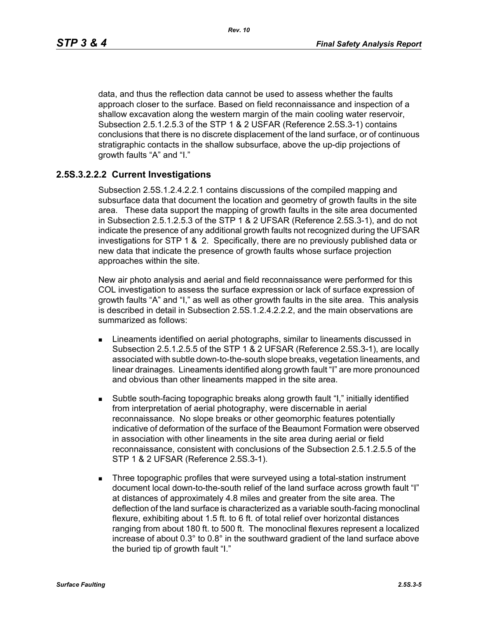data, and thus the reflection data cannot be used to assess whether the faults approach closer to the surface. Based on field reconnaissance and inspection of a shallow excavation along the western margin of the main cooling water reservoir, Subsection 2.5.1.2.5.3 of the STP 1 & 2 USFAR (Reference 2.5S.3-1) contains conclusions that there is no discrete displacement of the land surface, or of continuous stratigraphic contacts in the shallow subsurface, above the up-dip projections of growth faults "A" and "I."

# **2.5S.3.2.2.2 Current Investigations**

Subsection 2.5S.1.2.4.2.2.1 contains discussions of the compiled mapping and subsurface data that document the location and geometry of growth faults in the site area. These data support the mapping of growth faults in the site area documented in Subsection 2.5.1.2.5.3 of the STP 1 & 2 UFSAR (Reference 2.5S.3-1), and do not indicate the presence of any additional growth faults not recognized during the UFSAR investigations for STP 1 & 2. Specifically, there are no previously published data or new data that indicate the presence of growth faults whose surface projection approaches within the site.

New air photo analysis and aerial and field reconnaissance were performed for this COL investigation to assess the surface expression or lack of surface expression of growth faults "A" and "I," as well as other growth faults in the site area. This analysis is described in detail in Subsection 2.5S.1.2.4.2.2.2, and the main observations are summarized as follows:

- **EXTERGHEED EXECUTE:** Lineaments identified on aerial photographs, similar to lineaments discussed in Subsection 2.5.1.2.5.5 of the STP 1 & 2 UFSAR (Reference 2.5S.3-1), are locally associated with subtle down-to-the-south slope breaks, vegetation lineaments, and linear drainages. Lineaments identified along growth fault "I" are more pronounced and obvious than other lineaments mapped in the site area.
- Subtle south-facing topographic breaks along growth fault "I," initially identified from interpretation of aerial photography, were discernable in aerial reconnaissance. No slope breaks or other geomorphic features potentially indicative of deformation of the surface of the Beaumont Formation were observed in association with other lineaments in the site area during aerial or field reconnaissance, consistent with conclusions of the Subsection 2.5.1.2.5.5 of the STP 1 & 2 UFSAR (Reference 2.5S.3-1).
- **Three topographic profiles that were surveyed using a total-station instrument** document local down-to-the-south relief of the land surface across growth fault "I" at distances of approximately 4.8 miles and greater from the site area. The deflection of the land surface is characterized as a variable south-facing monoclinal flexure, exhibiting about 1.5 ft. to 6 ft. of total relief over horizontal distances ranging from about 180 ft. to 500 ft. The monoclinal flexures represent a localized increase of about 0.3° to 0.8° in the southward gradient of the land surface above the buried tip of growth fault "I."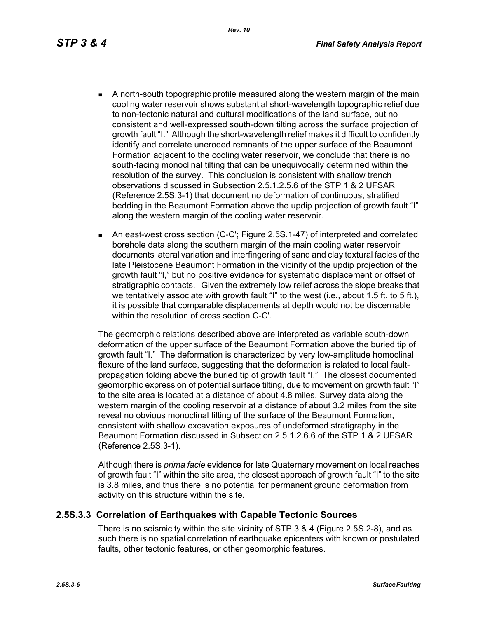- - A north-south topographic profile measured along the western margin of the main cooling water reservoir shows substantial short-wavelength topographic relief due to non-tectonic natural and cultural modifications of the land surface, but no consistent and well-expressed south-down tilting across the surface projection of growth fault "I." Although the short-wavelength relief makes it difficult to confidently identify and correlate uneroded remnants of the upper surface of the Beaumont Formation adjacent to the cooling water reservoir, we conclude that there is no south-facing monoclinal tilting that can be unequivocally determined within the resolution of the survey. This conclusion is consistent with shallow trench observations discussed in Subsection 2.5.1.2.5.6 of the STP 1 & 2 UFSAR (Reference 2.5S.3-1) that document no deformation of continuous, stratified bedding in the Beaumont Formation above the updip projection of growth fault "I" along the western margin of the cooling water reservoir.
	- An east-west cross section (C-C'; Figure 2.5S.1-47) of interpreted and correlated borehole data along the southern margin of the main cooling water reservoir documents lateral variation and interfingering of sand and clay textural facies of the late Pleistocene Beaumont Formation in the vicinity of the updip projection of the growth fault "I," but no positive evidence for systematic displacement or offset of stratigraphic contacts. Given the extremely low relief across the slope breaks that we tentatively associate with growth fault "I" to the west (i.e., about 1.5 ft. to 5 ft.), it is possible that comparable displacements at depth would not be discernable within the resolution of cross section C-C'.

The geomorphic relations described above are interpreted as variable south-down deformation of the upper surface of the Beaumont Formation above the buried tip of growth fault "I." The deformation is characterized by very low-amplitude homoclinal flexure of the land surface, suggesting that the deformation is related to local faultpropagation folding above the buried tip of growth fault "I." The closest documented geomorphic expression of potential surface tilting, due to movement on growth fault "I" to the site area is located at a distance of about 4.8 miles. Survey data along the western margin of the cooling reservoir at a distance of about 3.2 miles from the site reveal no obvious monoclinal tilting of the surface of the Beaumont Formation, consistent with shallow excavation exposures of undeformed stratigraphy in the Beaumont Formation discussed in Subsection 2.5.1.2.6.6 of the STP 1 & 2 UFSAR (Reference 2.5S.3-1).

Although there is *prima facie* evidence for late Quaternary movement on local reaches of growth fault "I" within the site area, the closest approach of growth fault "I" to the site is 3.8 miles, and thus there is no potential for permanent ground deformation from activity on this structure within the site.

### **2.5S.3.3 Correlation of Earthquakes with Capable Tectonic Sources**

There is no seismicity within the site vicinity of STP 3 & 4 (Figure 2.5S.2-8), and as such there is no spatial correlation of earthquake epicenters with known or postulated faults, other tectonic features, or other geomorphic features.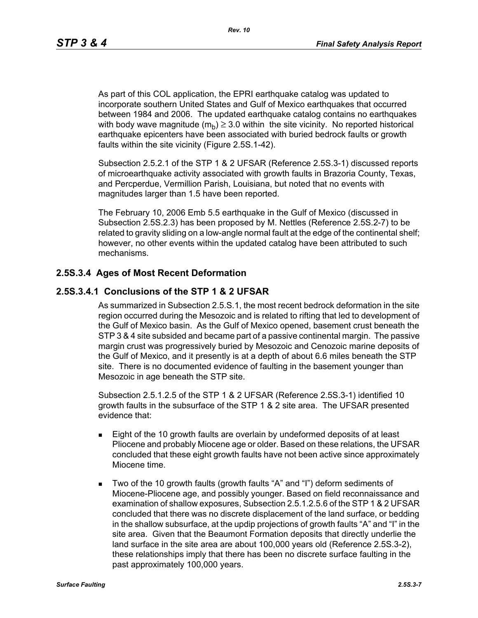As part of this COL application, the EPRI earthquake catalog was updated to incorporate southern United States and Gulf of Mexico earthquakes that occurred between 1984 and 2006. The updated earthquake catalog contains no earthquakes with body wave magnitude  $(m_h) \geq 3.0$  within the site vicinity. No reported historical earthquake epicenters have been associated with buried bedrock faults or growth faults within the site vicinity (Figure 2.5S.1-42).

Subsection 2.5.2.1 of the STP 1 & 2 UFSAR (Reference 2.5S.3-1) discussed reports of microearthquake activity associated with growth faults in Brazoria County, Texas, and Percperdue, Vermillion Parish, Louisiana, but noted that no events with magnitudes larger than 1.5 have been reported.

The February 10, 2006 Emb 5.5 earthquake in the Gulf of Mexico (discussed in Subsection 2.5S.2.3) has been proposed by M. Nettles (Reference 2.5S.2-7) to be related to gravity sliding on a low-angle normal fault at the edge of the continental shelf; however, no other events within the updated catalog have been attributed to such mechanisms.

## **2.5S.3.4 Ages of Most Recent Deformation**

## **2.5S.3.4.1 Conclusions of the STP 1 & 2 UFSAR**

As summarized in Subsection 2.5.S.1, the most recent bedrock deformation in the site region occurred during the Mesozoic and is related to rifting that led to development of the Gulf of Mexico basin. As the Gulf of Mexico opened, basement crust beneath the STP 3 & 4 site subsided and became part of a passive continental margin. The passive margin crust was progressively buried by Mesozoic and Cenozoic marine deposits of the Gulf of Mexico, and it presently is at a depth of about 6.6 miles beneath the STP site. There is no documented evidence of faulting in the basement younger than Mesozoic in age beneath the STP site.

Subsection 2.5.1.2.5 of the STP 1 & 2 UFSAR (Reference 2.5S.3-1) identified 10 growth faults in the subsurface of the STP 1 & 2 site area. The UFSAR presented evidence that:

- **Eight of the 10 growth faults are overlain by undeformed deposits of at least** Pliocene and probably Miocene age or older. Based on these relations, the UFSAR concluded that these eight growth faults have not been active since approximately Miocene time.
- Two of the 10 growth faults (growth faults "A" and "I") deform sediments of Miocene-Pliocene age, and possibly younger. Based on field reconnaissance and examination of shallow exposures, Subsection 2.5.1.2.5.6 of the STP 1 & 2 UFSAR concluded that there was no discrete displacement of the land surface, or bedding in the shallow subsurface, at the updip projections of growth faults "A" and "I" in the site area. Given that the Beaumont Formation deposits that directly underlie the land surface in the site area are about 100,000 years old (Reference 2.5S.3-2), these relationships imply that there has been no discrete surface faulting in the past approximately 100,000 years.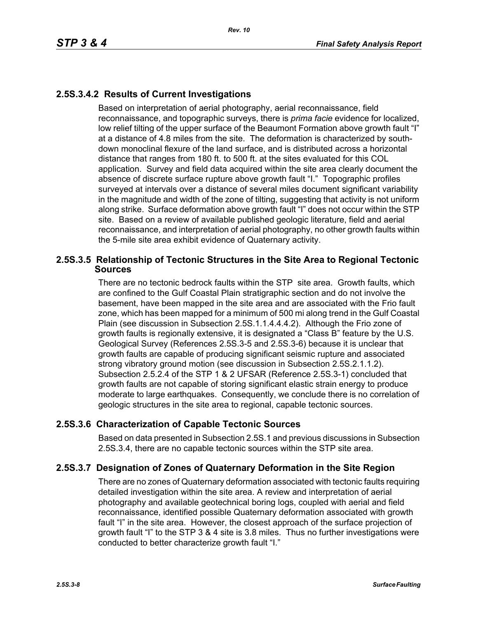# **2.5S.3.4.2 Results of Current Investigations**

Based on interpretation of aerial photography, aerial reconnaissance, field reconnaissance, and topographic surveys, there is *prima facie* evidence for localized, low relief tilting of the upper surface of the Beaumont Formation above growth fault "I" at a distance of 4.8 miles from the site. The deformation is characterized by southdown monoclinal flexure of the land surface, and is distributed across a horizontal distance that ranges from 180 ft. to 500 ft. at the sites evaluated for this COL application. Survey and field data acquired within the site area clearly document the absence of discrete surface rupture above growth fault "I." Topographic profiles surveyed at intervals over a distance of several miles document significant variability in the magnitude and width of the zone of tilting, suggesting that activity is not uniform along strike. Surface deformation above growth fault "I" does not occur within the STP site. Based on a review of available published geologic literature, field and aerial reconnaissance, and interpretation of aerial photography, no other growth faults within the 5-mile site area exhibit evidence of Quaternary activity.

### **2.5S.3.5 Relationship of Tectonic Structures in the Site Area to Regional Tectonic Sources**

There are no tectonic bedrock faults within the STP site area. Growth faults, which are confined to the Gulf Coastal Plain stratigraphic section and do not involve the basement, have been mapped in the site area and are associated with the Frio fault zone, which has been mapped for a minimum of 500 mi along trend in the Gulf Coastal Plain (see discussion in Subsection 2.5S.1.1.4.4.4.2). Although the Frio zone of growth faults is regionally extensive, it is designated a "Class B" feature by the U.S. Geological Survey (References 2.5S.3-5 and 2.5S.3-6) because it is unclear that growth faults are capable of producing significant seismic rupture and associated strong vibratory ground motion (see discussion in Subsection 2.5S.2.1.1.2). Subsection 2.5.2.4 of the STP 1 & 2 UFSAR (Reference 2.5S.3-1) concluded that growth faults are not capable of storing significant elastic strain energy to produce moderate to large earthquakes. Consequently, we conclude there is no correlation of geologic structures in the site area to regional, capable tectonic sources.

# **2.5S.3.6 Characterization of Capable Tectonic Sources**

Based on data presented in Subsection 2.5S.1 and previous discussions in Subsection 2.5S.3.4, there are no capable tectonic sources within the STP site area.

### **2.5S.3.7 Designation of Zones of Quaternary Deformation in the Site Region**

There are no zones of Quaternary deformation associated with tectonic faults requiring detailed investigation within the site area. A review and interpretation of aerial photography and available geotechnical boring logs, coupled with aerial and field reconnaissance, identified possible Quaternary deformation associated with growth fault "I" in the site area. However, the closest approach of the surface projection of growth fault "I" to the STP 3 & 4 site is 3.8 miles. Thus no further investigations were conducted to better characterize growth fault "I."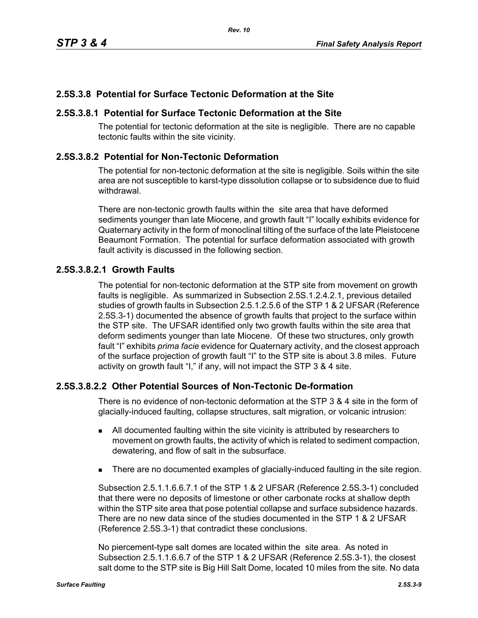# **2.5S.3.8 Potential for Surface Tectonic Deformation at the Site**

## **2.5S.3.8.1 Potential for Surface Tectonic Deformation at the Site**

The potential for tectonic deformation at the site is negligible. There are no capable tectonic faults within the site vicinity.

## **2.5S.3.8.2 Potential for Non-Tectonic Deformation**

The potential for non-tectonic deformation at the site is negligible. Soils within the site area are not susceptible to karst-type dissolution collapse or to subsidence due to fluid withdrawal.

There are non-tectonic growth faults within the site area that have deformed sediments younger than late Miocene, and growth fault "I" locally exhibits evidence for Quaternary activity in the form of monoclinal tilting of the surface of the late Pleistocene Beaumont Formation. The potential for surface deformation associated with growth fault activity is discussed in the following section.

## **2.5S.3.8.2.1 Growth Faults**

The potential for non-tectonic deformation at the STP site from movement on growth faults is negligible. As summarized in Subsection 2.5S.1.2.4.2.1, previous detailed studies of growth faults in Subsection 2.5.1.2.5.6 of the STP 1 & 2 UFSAR (Reference 2.5S.3-1) documented the absence of growth faults that project to the surface within the STP site. The UFSAR identified only two growth faults within the site area that deform sediments younger than late Miocene. Of these two structures, only growth fault "I" exhibits *prima facie* evidence for Quaternary activity, and the closest approach of the surface projection of growth fault "I" to the STP site is about 3.8 miles. Future activity on growth fault "I," if any, will not impact the STP 3 & 4 site.

# **2.5S.3.8.2.2 Other Potential Sources of Non-Tectonic De-formation**

There is no evidence of non-tectonic deformation at the STP 3 & 4 site in the form of glacially-induced faulting, collapse structures, salt migration, or volcanic intrusion:

- All documented faulting within the site vicinity is attributed by researchers to movement on growth faults, the activity of which is related to sediment compaction, dewatering, and flow of salt in the subsurface.
- There are no documented examples of glacially-induced faulting in the site region.

Subsection 2.5.1.1.6.6.7.1 of the STP 1 & 2 UFSAR (Reference 2.5S.3-1) concluded that there were no deposits of limestone or other carbonate rocks at shallow depth within the STP site area that pose potential collapse and surface subsidence hazards. There are no new data since of the studies documented in the STP 1 & 2 UFSAR (Reference 2.5S.3-1) that contradict these conclusions.

No piercement-type salt domes are located within the site area. As noted in Subsection 2.5.1.1.6.6.7 of the STP 1 & 2 UFSAR (Reference 2.5S.3-1), the closest salt dome to the STP site is Big Hill Salt Dome, located 10 miles from the site. No data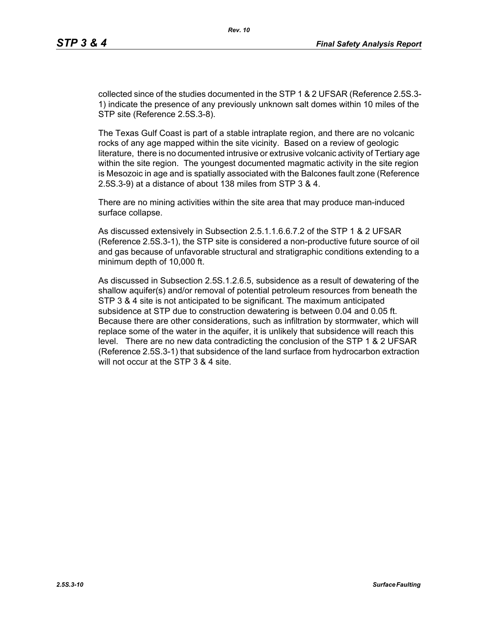collected since of the studies documented in the STP 1 & 2 UFSAR (Reference 2.5S.3- 1) indicate the presence of any previously unknown salt domes within 10 miles of the STP site (Reference 2.5S.3-8).

The Texas Gulf Coast is part of a stable intraplate region, and there are no volcanic rocks of any age mapped within the site vicinity. Based on a review of geologic literature, there is no documented intrusive or extrusive volcanic activity of Tertiary age within the site region. The youngest documented magmatic activity in the site region is Mesozoic in age and is spatially associated with the Balcones fault zone (Reference 2.5S.3-9) at a distance of about 138 miles from STP 3 & 4.

There are no mining activities within the site area that may produce man-induced surface collapse.

As discussed extensively in Subsection 2.5.1.1.6.6.7.2 of the STP 1 & 2 UFSAR (Reference 2.5S.3-1), the STP site is considered a non-productive future source of oil and gas because of unfavorable structural and stratigraphic conditions extending to a minimum depth of 10,000 ft.

As discussed in Subsection 2.5S.1.2.6.5, subsidence as a result of dewatering of the shallow aquifer(s) and/or removal of potential petroleum resources from beneath the STP 3 & 4 site is not anticipated to be significant. The maximum anticipated subsidence at STP due to construction dewatering is between 0.04 and 0.05 ft. Because there are other considerations, such as infiltration by stormwater, which will replace some of the water in the aquifer, it is unlikely that subsidence will reach this level. There are no new data contradicting the conclusion of the STP 1 & 2 UFSAR (Reference 2.5S.3-1) that subsidence of the land surface from hydrocarbon extraction will not occur at the STP 3 & 4 site.